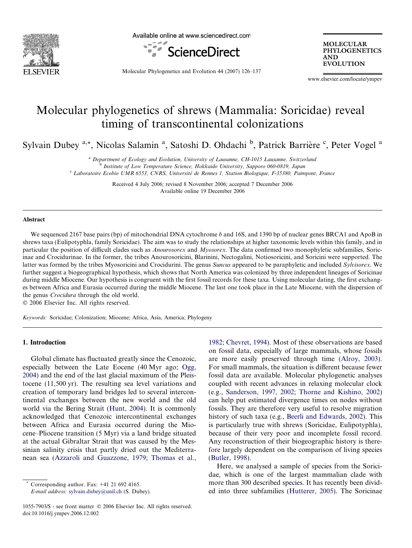

Available online at www.sciencedirect.com



**MOLECULAR PHYLOGENETICS AND EVOLUTION** 

Molecular Phylogenetics and Evolution 44 (2007) 126–137

www.elsevier.com/locate/ympev

# Molecular phylogenetics of shrews (Mammalia: Soricidae) reveal timing of transcontinental colonizations

Sylvain Dubey <sup>a,\*</sup>, Nicolas Salamin <sup>a</sup>, Satoshi D. Ohdachi <sup>b</sup>, Patrick Barrière <sup>c</sup>, Peter Vogel <sup>a</sup>

<sup>a</sup> Department of Ecology and Evolution, University of Lausanne, CH-1015 Lausanne, Switzerland

<sup>b</sup> Institute of Low Temperature Science, Hokkaido University, Sapporo 060-0819, Japan

<sup>c</sup> Laboratoire Ecobio UMR 6553, CNRS, Université de Rennes 1, Station Biologique, F-35380, Paimpont, France

Received 4 July 2006; revised 8 November 2006; accepted 7 December 2006 Available online 19 December 2006

#### Abstract

We sequenced 2167 base pairs (bp) of mitochondrial DNA cytochrome b and 16S, and 1390 bp of nuclear genes BRCA1 and ApoB in shrews taxa (Eulipotyphla, family Soricidae). The aim was to study the relationships at higher taxonomic levels within this family, and in particular the position of difficult clades such as *Anourosorex* and *Myosorex*. The data confirmed two monophyletic subfamilies, Soricinae and Crocidurinae. In the former, the tribes Anourosoricini, Blarinini, Nectogalini, Notiosoricini, and Soricini were supported. The latter was formed by the tribes Myosoricini and Crocidurini. The genus Suncus appeared to be paraphyletic and included Sylvisorex. We further suggest a biogeographical hypothesis, which shows that North America was colonized by three independent lineages of Soricinae during middle Miocene. Our hypothesis is congruent with the first fossil records for these taxa. Using molecular dating, the first exchanges between Africa and Eurasia occurred during the middle Miocene. The last one took place in the Late Miocene, with the dispersion of the genus Crocidura through the old world.

© 2006 Elsevier Inc. All rights reserved.

Keywords: Soricidae; Colonization; Miocene; Africa, Asia, America; Phylogeny

# 1. Introduction

Global climate has fluctuated greatly since the Cenozoic, especially between the Late Eocene (40 Myr ago; [Ogg,](#page-10-0) [2004\)](#page-10-0) and the end of the last glacial maximum of the Pleistocene (11,500 yr). The resulting sea level variations and creation of temporary land bridges led to several intercontinental exchanges between the new world and the old world via the Bering Strait [\(Hunt, 2004](#page-10-0)). It is commonly acknowledged that Cenozoic intercontinental exchanges between Africa and Eurasia occurred during the Miocene–Pliocene transition (5 Myr) via a land bridge situated at the actual Gibraltar Strait that was caused by the Messinian salinity crisis that partly dried out the Mediterranean sea [\(Azzaroli and Guazzone, 1979; Thomas et al.,](#page-9-0)

Corresponding author. Fax:  $+41$  21 692 4165.

E-mail address: [sylvain.dubey@unil.ch](mailto:sylvain.dubey@unil.ch) (S. Dubey).

[1982; Chevret, 1994](#page-9-0)). Most of these observations are based on fossil data, especially of large mammals, whose fossils are more easily preserved through time [\(Alroy, 2003\)](#page-9-0). For small mammals, the situation is different because fewer fossil data are available. Molecular phylogenetic analyses coupled with recent advances in relaxing molecular clock (e.g., [Sanderson, 1997, 2002; Thorne and Kishino, 2002](#page-11-0)) can help put estimated divergence times on nodes without fossils. They are therefore very useful to resolve migration history of such taxa (e.g., [Beerli and Edwards, 2002\)](#page-9-0). This is particularly true with shrews (Soricidae, Eulipotyphla), because of their very poor and incomplete fossil record. Any reconstruction of their biogeographic history is therefore largely dependent on the comparison of living species [\(Butler, 1998](#page-9-0)).

Here, we analysed a sample of species from the Soricidae, which is one of the largest mammalian clade with more than 300 described species. It has recently been divided into three subfamilies [\(Hutterer, 2005](#page-10-0)). The Soricinae

<sup>1055-7903/\$ -</sup> see front matter © 2006 Elsevier Inc. All rights reserved. doi:10.1016/j.ympev.2006.12.002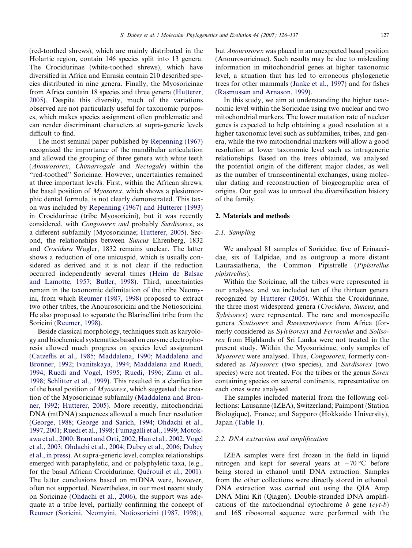(red-toothed shrews), which are mainly distributed in the Holartic region, contain 146 species split into 13 genera. The Crocidurinae (white-toothed shrews), which have diversified in Africa and Eurasia contain 210 described species distributed in nine genera. Finally, the Myosoricinae from Africa contain 18 species and three genera [\(Hutterer,](#page-10-0) [2005](#page-10-0)). Despite this diversity, much of the variations observed are not particularly useful for taxonomic purposes, which makes species assignment often problematic and can render discriminant characters at supra-generic levels difficult to find.

The most seminal paper published by [Repenning \(1967\)](#page-11-0) recognized the importance of the mandibular articulation and allowed the grouping of three genera with white teeth (Anourosorex, Chimarrogale and Nectogale) within the ''red-toothed'' Soricinae. However, uncertainties remained at three important levels. First, within the African shrews, the basal position of Myosorex, which shows a plesiomorphic dental formula, is not clearly demonstrated. This taxon was included by [Repenning \(1967\) and Hutterer \(1993\)](#page-11-0) in Crocidurinae (tribe Myosoricini), but it was recently considered, with Congosorex and probably Surdisorex, as a different subfamily (Myosoricinae; [Hutterer, 2005](#page-10-0)). Second, the relationships between Suncus Ehrenberg, 1832 and Crocidura Wagler, 1832 remains unclear. The latter shows a reduction of one unicuspid, which is usually considered as derived and it is not clear if the reduction occurred independently several times ([Heim de Balsac](#page-10-0) [and Lamotte, 1957; Butler, 1998\)](#page-10-0). Third, uncertainties remain in the taxonomic delimitation of the tribe Neomyini, from which [Reumer \(1987, 1998\)](#page-11-0) proposed to extract two other tribes, the Anourosoricini and the Notiosoricini. He also proposed to separate the Blarinellini tribe from the Soricini [\(Reumer, 1998](#page-11-0)).

Beside classical morphology, techniques such as karyology and biochemical systematics based on enzyme electrophoresis allowed much progress on species level assignment ([Catzeflis et al., 1985; Maddalena, 1990; Maddalena and](#page-9-0) [Bronner, 1992; Ivanitskaya, 1994; Maddalena and Ruedi,](#page-9-0) [1994; Ruedi and Vogel, 1995; Ruedi, 1996; Zima et al.,](#page-9-0) [1998; Schlitter et al., 1999\)](#page-9-0). This resulted in a clarification of the basal position of Myosorex, which suggested the creation of the Myosoricinae subfamily ([Maddalena and Bron](#page-10-0)[ner, 1992; Hutterer, 2005](#page-10-0)). More recently, mitochondrial DNA (mtDNA) sequences allowed a much finer resolution ([George, 1988; George and Sarich, 1994; Ohdachi et al.,](#page-10-0) [1997, 2001; Ruedi et al., 1998; Fumagalli et al., 1999; Motok](#page-10-0)[awa et al., 2000; Brant and Orti, 2002; Han et al., 2002; Vogel](#page-10-0) [et al., 2003; Ohdachi et al., 2004; Dubey et al., 2006; Dubey](#page-10-0) [et al., in press](#page-10-0)). At supra-generic level, complex relationships emerged with paraphyletic, and or polyphyletic taxa, (e.g., for the basal African Crocidurinae; Quérouil et al., 2001). The latter conclusions based on mtDNA were, however, often not supported. Nevertheless, in our most recent study on Soricinae ([Ohdachi et al., 2006](#page-10-0)), the support was adequate at a tribe level, partially confirming the concept of [Reumer \(Soricini, Neomyini, Notiosoricini \(1987, 1998\)\),](#page-11-0)

but Anourosorex was placed in an unexpected basal position (Anourosoricinae). Such results may be due to misleading information in mitochondrial genes at higher taxonomic level, a situation that has led to erroneous phylogenetic trees for other mammals [\(Janke et al., 1997](#page-10-0)) and for fishes ([Rasmussen and Arnason, 1999\)](#page-10-0).

In this study, we aim at understanding the higher taxonomic level within the Soricidae using two nuclear and two mitochondrial markers. The lower mutation rate of nuclear genes is expected to help obtaining a good resolution at a higher taxonomic level such as subfamilies, tribes, and genera, while the two mitochondrial markers will allow a good resolution at lower taxonomic level such as intrageneric relationships. Based on the trees obtained, we analysed the potential origin of the different major clades, as well as the number of transcontinental exchanges, using molecular dating and reconstruction of biogeographic area of origins. Our goal was to unravel the diversification history of the family.

## 2. Materials and methods

## 2.1. Sampling

We analysed 81 samples of Soricidae, five of Erinaceidae, six of Talpidae, and as outgroup a more distant Laurasiatheria, the Common Pipistrelle (Pipistrellus pipistrellus).

Within the Soricinae, all the tribes were represented in our analyses, and we included ten of the thirteen genera recognized by [Hutterer \(2005\).](#page-10-0) Within the Crocidurinae, the three most widespread genera (Crocidura, Suncus, and Sylvisorex) were represented. The rare and monospecific genera Scutisorex and Ruwenzorisorex from Africa (formerly considered as Sylvisorex) and Ferroculus and Solisorex from Highlands of Sri Lanka were not treated in the present study. Within the Myosoricinae, only samples of Myosorex were analysed. Thus, Congosorex, formerly considered as *Myosorex* (two species), and *Surdisorex* (two species) were not treated. For the tribes or the genus Sorex containing species on several continents, representative on each ones were analysed.

The samples included material from the following collections: Lausanne (IZEA), Switzerland; Paimpont (Station Biologique), France; and Sapporo (Hokkaido University), Japan ([Table 1](#page-2-0)).

## 2.2. DNA extraction and amplification

IZEA samples were first frozen in the field in liquid nitrogen and kept for several years at  $-70$  °C before being stored in ethanol until DNA extraction. Samples from the other collections were directly stored in ethanol. DNA extraction was carried out using the QIA Amp DNA Mini Kit (Qiagen). Double-stranded DNA amplifications of the mitochondrial cytochrome  $b$  gene (cyt-b) and 16S ribosomal sequence were performed with the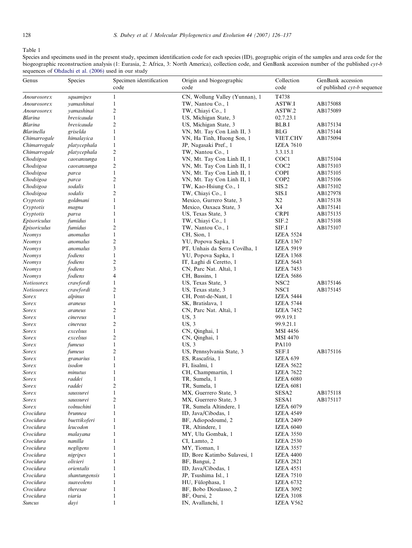<span id="page-2-0"></span>Table 1

Species and specimens used in the present study, specimen identification code for each species (ID), geographic origin of the samples and area code for the biogeographic reconstruction analysis (1: Eurasia, 2: Africa, 3: North America), collection code, and GenBank accession number of the published cyt-b sequences of [Ohdachi et al. \(2006\)](#page-10-0) used in our study  $\overline{\phantom{0}}$ 

| Genus             | Species       | Specimen identification<br>code | Origin and biogeographic<br>code | Collection<br>code | GenBank accession<br>of published cyt-b sequence |
|-------------------|---------------|---------------------------------|----------------------------------|--------------------|--------------------------------------------------|
|                   |               |                                 |                                  |                    |                                                  |
| Anourosorex       | squamipes     | $\mathbf{1}$                    | CN, Wollung Valley (Yunnan), 1   | T4738              |                                                  |
| Anourosorex       | yamashinai    | $\mathbf{1}$                    | TW, Nantou Co., 1                | ASTW.I             | AB175088                                         |
| Anourosorex       | yamashinai    | 2                               | TW, Chiayi Co., 1                | ASTW.2             | AB175089                                         |
| <b>Blarina</b>    | brevicauda    | 1                               | US, Michigan State, 3            | 02.7.23.1          |                                                  |
| Blarina           | brevicauda    | 2                               | US, Michigan State, 3            | BLB.I              | AB175134                                         |
| Blarinella        | griselda      | 1                               | VN, Mt. Tay Con Linh II, 3       | <b>BLG</b>         | AB175144                                         |
| Chimarrogale      | himalayica    | 1                               | VN, Ha Tinh, Huong Son, 1        | VIET.CHV           | AB175094                                         |
| Chimarrogale      | platycephala  | $\mathbf{1}$                    | JP, Nagasaki Pref., 1            | <b>IZEA 7610</b>   |                                                  |
| Chimarrogale      | platycephala  | $\overline{\mathbf{c}}$         | TW, Nantou Co., 1                | 3.3.15.1           |                                                  |
| Chodsigoa         | caovansunga   | $\mathbf{1}$                    | VN, Mt. Tay Con Linh II, 1       | COC1               | AB175104                                         |
| Chodsigoa         | caovansunga   | 2                               | VN, Mt. Tay Con Linh II, 1       | COC <sub>2</sub>   | AB175103                                         |
| Chodsigoa         | parca         | $\mathbf{1}$                    | VN, Mt. Tay Con Linh II, 1       | <b>COPI</b>        | AB175105                                         |
| Chodsigoa         | parca         | 2                               | VN, Mt. Tay Con Linh II, 1       | COP <sub>2</sub>   | AB175106                                         |
| Chodsigoa         | sodalis       | $\mathbf{1}$                    | TW, Kao-Hsiung Co., 1            | SIS.2              | AB175102                                         |
| Chodsigoa         | sodalis       | $\overline{c}$                  | TW, Chiayi Co., 1                | SIS.I              | AB127978                                         |
| Cryptotis         | goldmani      | 1                               | Mexico, Gurrero State, 3         | X2                 | AB175138                                         |
| Cryptotis         | magna         | 1                               | Mexico, Oaxaca State, 3          | X4                 | AB175141                                         |
| Cryptotis         | parva         | $\mathbf{1}$                    | US, Texas State, 3               | <b>CRPI</b>        | AB175135                                         |
| Episoriculus      | fumidus       | $\mathbf{1}$                    | TW, Chiayi Co., 1                | SIF.2              | AB175108                                         |
| Episoriculus      | fumidus       | $\overline{c}$                  | TW, Nantou Co., 1                | SIF.I              | AB175107                                         |
| Neomys            | anomalus      | $\mathbf{1}$                    | CH, Sion, 1                      | <b>IZEA 5524</b>   |                                                  |
| Neomys            | anomalus      | 2                               | YU, Popova Sapka, 1              | <b>IZEA 1367</b>   |                                                  |
| Neomys            | anomalus      | 3                               | PT, Unhais da Serra Covilha, 1   | <b>IZEA 5919</b>   |                                                  |
| Neomys            | fodiens       | 1                               | YU, Popova Sapka, 1              | <b>IZEA 1368</b>   |                                                  |
| Neomys            | fodiens       | 2                               | IT, Laghi di Ceretto, 1          | <b>IZEA 5643</b>   |                                                  |
| Neomys            | fodiens       | 3                               | CN, Parc Nat. Altai, 1           | <b>IZEA 7453</b>   |                                                  |
| Neomys            | fodiens       | 4                               | CH, Bassins, 1                   | <b>IZEA 5686</b>   |                                                  |
| <b>Notiosorex</b> | crawfordi     | 1                               | US, Texas State, 3               | NSC <sub>2</sub>   | AB175146                                         |
| <b>Notiosorex</b> | crawfordi     | $\boldsymbol{2}$                | US, Texas state, 3               | <b>NSCI</b>        | AB175145                                         |
| Sorex             | alpinus       | 1                               | CH, Pont-de-Nant, 1              | <b>IZEA 5444</b>   |                                                  |
| Sorex             | araneus       | 1                               | SK, Bratislava, 1                | <b>IZEA 5744</b>   |                                                  |
| Sorex             | araneus       | $\overline{c}$                  | CN, Parc Nat. Altai, 1           | <b>IZEA 7452</b>   |                                                  |
| Sorex             | cinereus      | $\mathbf{1}$                    | US, 3                            | 99.9.19.1          |                                                  |
| Sorex             | cinereus      | 2                               | US, 3                            | 99.9.21.1          |                                                  |
| Sorex             | excelsus      | $\mathbf{1}$                    | CN, Qinghai, 1                   | <b>MSI 4456</b>    |                                                  |
| Sorex             | excelsus      | 2                               | CN, Qinghai, 1                   | <b>MSI 4470</b>    |                                                  |
| Sorex             | fumeus        | 1                               | US, 3                            | PA110              |                                                  |
| Sorex             | fumeus        | $\overline{c}$                  | US, Pennsylvania State, 3        | SEF.I              | AB175116                                         |
| Sorex             | granarius     | 1                               | ES, Rascafria, 1                 | IZEA 639           |                                                  |
| <b>Sorex</b>      | isodon        | 1                               | FI, Iisalmi, 1                   | <b>IZEA 5622</b>   |                                                  |
| Sorex             | minutus       | 1                               | CH, Champmartin, 1               | <b>IZEA 7622</b>   |                                                  |
| Sorex             | raddei        | 1                               | TR, Sumela, 1                    | <b>IZEA 6080</b>   |                                                  |
| Sorex             | raddei        | $\overline{\mathbf{c}}$         | TR, Sumela, 1                    | <b>IZEA 6081</b>   |                                                  |
| Sorex             | saussurei     | $\mathbf{1}$                    | MX, Guerrero State, 3            | SESA <sub>2</sub>  | AB175118                                         |
| Sorex             | saussurei     | 2                               | MX, Guerrero State, 3            | SESA1              | AB175117                                         |
| <b>Sorex</b>      | volnuchini    | 1                               | TR, Sumela Altindere, 1          | <b>IZEA 6079</b>   |                                                  |
| Crocidura         | brunnea       | 1                               | ID, Java/Cibodas, 1              | <b>IZEA 4549</b>   |                                                  |
| Crocidura         | buettikoferi  | 1                               | BF, Adiopodoumé, 2               | <b>IZEA 2409</b>   |                                                  |
| Crocidura         | leucodon      | 1                               | TR, Altindere, 1                 | <b>IZEA 6040</b>   |                                                  |
| Crocidura         | malayana      | 1                               | MY, Ulu Gombak, 1                | <b>IZEA 3550</b>   |                                                  |
| Crocidura         | nanilla       | 1                               | CI, Lamto, 2                     | <b>IZEA 2530</b>   |                                                  |
| Crocidura         | negligens     | 1                               | MY, Tioman, 1                    | <b>IZEA 3557</b>   |                                                  |
| Crocidura         | nigripes      | 1                               | ID, Bore Katimbo Sulavesi, 1     | <b>IZEA 4400</b>   |                                                  |
| Crocidura         | olivieri      | 1                               | BF, Bangui, 2                    | <b>IZEA 2821</b>   |                                                  |
| Crocidura         | orientalis    | 1                               | ID, Java/Cibodas, 1              | <b>IZEA 4551</b>   |                                                  |
| Crocidura         | shantungensis | $\mathbf{1}$                    | JP, Tsushima Isl., 1             | <b>IZEA 7510</b>   |                                                  |
| Crocidura         | suaveolens    | 1                               | HU, Fülophasa, 1                 | <b>IZEA 6732</b>   |                                                  |
| Crocidura         | theresae      | 1                               | BF, Bobo Dioulasso, 2            | <b>IZEA 3092</b>   |                                                  |
| Crocidura         | viaria        | 1                               | BF, Oursi, 2                     | <b>IZEA 3108</b>   |                                                  |
| Suncus            | dayi          | $\mathbf{1}$                    | IN, Avallanchi, 1                | IZEA V562          |                                                  |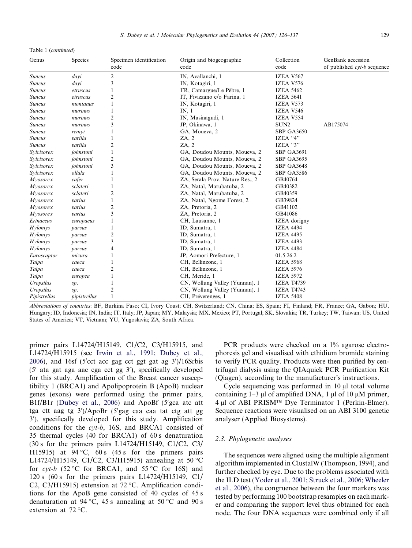Table 1 (continued)

| Genus             | Species      | Specimen identification<br>code | Origin and biogeographic<br>code | Collection<br>code | GenBank accession<br>of published $cyt-b$ sequence |
|-------------------|--------------|---------------------------------|----------------------------------|--------------------|----------------------------------------------------|
|                   |              |                                 |                                  |                    |                                                    |
| <b>Suncus</b>     | dayi         | 3                               | IN, Kotagiri, 1                  | IZEA V576          |                                                    |
| <b>Suncus</b>     | etruscus     |                                 | FR, Camargue/Le Pèbre, 1         | <b>IZEA 5462</b>   |                                                    |
| <b>Suncus</b>     | etruscus     | 2                               | IT, Fivizzano c/o Farina, 1      | <b>IZEA 5641</b>   |                                                    |
| <b>Suncus</b>     | montanus     |                                 | IN, Kotagiri, 1                  | IZEA V573          |                                                    |
| <b>Suncus</b>     | murinus      |                                 | IN, 1                            | IZEA V546          |                                                    |
| <b>Suncus</b>     | murinus      | 2                               | IN, Masinagudi, 1                | IZEA V554          |                                                    |
| <b>Suncus</b>     | murinus      | 3                               | JP, Okinawa, 1                   | SUN <sub>2</sub>   | AB175074                                           |
| <b>Suncus</b>     | remyi        |                                 | GA, Moueva, 2                    | <b>SBP GA3650</b>  |                                                    |
| <b>Suncus</b>     | varilla      |                                 | ZA, 2                            | IZEA "4"           |                                                    |
| <b>Suncus</b>     | varilla      | 2                               | ZA, 2                            | IZEA "3"           |                                                    |
| Sylvisorex        | johnstoni    |                                 | GA, Doudou Mounts, Moueva, 2     | <b>SBP GA3691</b>  |                                                    |
| <i>Sylvisorex</i> | johnstoni    | 2                               | GA, Doudou Mounts, Moueva, 2     | <b>SBP GA3695</b>  |                                                    |
| Sylvisorex        | johnstoni    | 3                               | GA, Doudou Mounts, Moueva, 2     | <b>SBP GA3648</b>  |                                                    |
| Sylvisorex        | ollula       |                                 | GA, Doudou Mounts, Moueva, 2     | <b>SBP GA3586</b>  |                                                    |
| <i>Myosorex</i>   | cafer        |                                 | ZA, Serala Prov. Nature Res., 2  | GB40764            |                                                    |
| <i>Myosorex</i>   | sclateri     |                                 | ZA, Natal, Matubatuba, 2         | GB40382            |                                                    |
| <i>Myosorex</i>   | sclateri     | 2                               | ZA, Natal, Matubatuba, 2         | GB40359            |                                                    |
| <i>Myosorex</i>   | varius       |                                 | ZA, Natal, Ngome Forest, 2       | GB39824            |                                                    |
| <i>Myosorex</i>   | varius       | 2                               | ZA, Pretoria, 2                  | GB41102            |                                                    |
| <i>Myosorex</i>   | varius       | 3                               | ZA, Pretoria, 2                  | GB41086            |                                                    |
| Erinaceus         | europaeus    |                                 | CH, Lausanne, 1                  | IZEA dorigny       |                                                    |
| <i>Hylomys</i>    | parvus       |                                 | ID, Sumatra, 1                   | <b>IZEA 4494</b>   |                                                    |
| <i>Hylomys</i>    | parvus       | 2                               | ID, Sumatra, 1                   | <b>IZEA 4495</b>   |                                                    |
| <i>Hylomys</i>    | parvus       | 3                               | ID, Sumatra, 1                   | <b>IZEA 4493</b>   |                                                    |
| <i>Hylomys</i>    | parvus       | 4                               | ID, Sumatra, 1                   | <b>IZEA 4484</b>   |                                                    |
| Euroscaptor       | mizura       |                                 | JP, Aomori Prefecture, 1         | 01.5.26.2          |                                                    |
| Talpa             | caeca        |                                 | CH, Bellinzone, 1                | <b>IZEA 5968</b>   |                                                    |
| Talpa             | caeca        | 2                               | CH, Bellinzone, 1                | <b>IZEA 5976</b>   |                                                    |
| Talpa             | europea      |                                 | CH, Meride, 1                    | <b>IZEA 5972</b>   |                                                    |
| <b>Uropsilus</b>  | sp.          |                                 | CN, Wollung Valley (Yunnan), 1   | <b>IZEA T4739</b>  |                                                    |
| <b>Uropsilus</b>  | sp.          | 2                               | CN, Wollung Valley (Yunnan), 1   | <b>IZEA T4743</b>  |                                                    |
| Pipistrellus      | pipistrellus |                                 | CH, Préverenges, 1               | <b>IZEA 5408</b>   |                                                    |

Abbreviations of countries: BF, Burkina Faso; CI, Ivory Coast; CH, Switzerland; CN, China; ES, Spain; FI, Finland; FR, France; GA, Gabon; HU, Hungary; ID, Indonesia; IN, India; IT, Italy; JP, Japan; MY, Malaysia; MX, Mexico; PT, Portugal; SK, Slovakia; TR, Turkey; TW, Taiwan; US, United States of America; VT, Vietnam; YU, Yugoslavia; ZA, South Africa.

primer pairs L14724/H15149, C1/C2, C3/H15915, and L14724/H15915 (see [Irwin et al., 1991; Dubey et al.,](#page-10-0) [2006](#page-10-0)), and 16sf (5'cct acc gag cct ggt gat ag  $3')/16$ Srbis  $(5'$  ata gat aga aac cga cct gg  $3'$ ), specifically developed for this study. Amplification of the Breast cancer susceptibility 1 (BRCA1) and Apolipoprotein B (ApoB) nuclear genes (exons) were performed using the primer pairs, B1f/B1r [\(Dubey et al., 2006](#page-9-0)) and ApoBf ( $5′$ gca atc att tga ctt aag tg 3')/ApoBr (5'gag caa caa tat ctg att gg 3'), specifically developed for this study. Amplification conditions for the cyt-b, 16S, and BRCA1 consisted of 35 thermal cycles (40 for BRCA1) of 60 s denaturation (30 s for the primers pairs L14724/H15149, C1/C2, C3/ H15915) at  $94^{\circ}$ C,  $60 \text{ s}$  (45 s for the primers pairs L14724/H15149, C1/C2, C3/H15915) annealing at 50 °C for cyt-b (52 °C for BRCA1, and 55 °C for 16S) and 120 s (60 s for the primers pairs L14724/H15149, C1/ C2, C3/H15915) extension at 72 °C. Amplification conditions for the ApoB gene consisted of 40 cycles of 45 s denaturation at 94 °C, 45 s annealing at 50 °C and 90 s extension at  $72^{\circ}$ C.

PCR products were checked on a 1% agarose electrophoresis gel and visualised with ethidium bromide staining to verify PCR quality. Products were then purified by centrifugal dialysis using the QIAquick PCR Purification Kit (Qiagen), according to the manufacturer's instructions.

Cycle sequencing was performed in  $10 \mu l$  total volume containing  $1-3$  µl of amplified DNA, 1 µl of 10 µM primer, 4 µl of ABI PRISM™ Dye Terminator 1 (Perkin-Elmer). Sequence reactions were visualised on an ABI 3100 genetic analyser (Applied Biosystems).

#### 2.3. Phylogenetic analyses

The sequences were aligned using the multiple alignment algorithm implemented in ClustalW (Thompson, 1994), and further checked by eye. Due to the problems associated with the ILD test [\(Yoder et al., 2001; Struck et al., 2006; Wheeler](#page-11-0) [et al., 2006](#page-11-0)), the congruence between the four markers was tested by performing 100 bootstrap resamples on each marker and comparing the support level thus obtained for each node. The four DNA sequences were combined only if all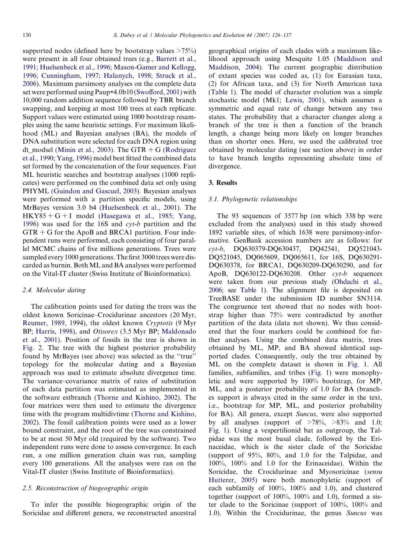supported nodes (defined here by bootstrap values  $>75\%$ ) were present in all four obtained trees (e.g., [Barrett et al.,](#page-9-0) [1991; Huelsenbeck et al., 1996; Mason-Gamer and Kellogg,](#page-9-0) [1996; Cunningham, 1997; Halanych, 1998; Struck et al.,](#page-9-0) [2006\)](#page-9-0). Maximum parsimony analyses on the complete data set were performed using Paup\*4.0b10 [\(Swofford, 2001](#page-11-0)) with 10,000 random addition sequence followed by TBR branch swapping, and keeping at most 100 trees at each replicate. Support values were estimated using 1000 bootstrap resamples using the same heuristic settings. For maximum likelihood (ML) and Bayesian analyses (BA), the models of DNA substitution were selected for each DNA region using dt\_modsel [\(Minin et al., 2003](#page-10-0)). The GTR + G [\(Rodriguez](#page-11-0) [et al., 1990; Yang, 1996\)](#page-11-0) model best fitted the combined data set formed by the concatenation of the four sequences. Fast ML heuristic searches and bootstrap analyses (1000 replicates) were performed on the combined data set only using PHYML ([Guindon and Gascuel, 2003](#page-10-0)). Bayesian analyses were performed with a partition specific models, using MrBayes version 3.0 b4 [\(Huelsenbeck et al., 2001](#page-10-0)). The  $HKY85 + G + I$  model ([Hasegawa et al., 1985; Yang,](#page-10-0) [1996\)](#page-10-0) was used for the 16S and cyt-b partition and the  $GTR + G$  for the ApoB and BRCA1 partition. Four independent runs were performed, each consisting of four parallel MCMC chains of five millions generations. Trees were sampled every 1000 generations. The first 3000 trees were discarded as burnin. Both ML and BA analyses were performed on the Vital-IT cluster (Swiss Institute of Bioinformatics).

## 2.4. Molecular dating

The calibration points used for dating the trees was the oldest known Soricinae–Crocidurinae ancestors (20 Myr, [Reumer, 1989,](#page-11-0) 1994), the oldest known Cryptotis (9 Myr BP; [Harris, 1998](#page-10-0)), and Otisorex (3.5 Myr BP; [Maldonado](#page-10-0) [et al., 2001](#page-10-0)). Position of fossils in the tree is shown in [Fig. 2](#page-6-0). The tree with the highest posterior probability found by MrBayes (see above) was selected as the ''true'' topology for the molecular dating and a Bayesian approach was used to estimate absolute divergence time. The variance–covariance matrix of rates of substitution of each data partition was estimated as implemented in the software estbranch ([Thorne and Kishino, 2002\)](#page-11-0). The four matrices were then used to estimate the divergence time with the program multidivtime [\(Thorne and Kishino,](#page-11-0) [2002\)](#page-11-0). The fossil calibration points were used as a lower bound constraint, and the root of the tree was constrained to be at most 50 Myr old (required by the software). Two independent runs were done to assess convergence. In each run, a one million generation chain was run, sampling every 100 generations. All the analyses were ran on the Vital-IT cluster (Swiss Institute of Bioinformatics).

## 2.5. Reconstruction of biogeographic origin

To infer the possible biogeographic origin of the Soricidae and different genera, we reconstructed ancestral geographical origins of each clades with a maximum likelihood approach using Mesquite 1.05 [\(Maddison and](#page-10-0) [Maddison, 2004\)](#page-10-0). The current geographic distribution of extant species was coded as, (1) for Eurasian taxa, (2) for African taxa, and (3) for North American taxa [\(Table 1\)](#page-2-0). The model of character evolution was a simple stochastic model (Mk1; [Lewis, 2001](#page-10-0)), which assumes a symmetric and equal rate of change between any two states. The probability that a character changes along a branch of the tree is then a function of the branch length, a change being more likely on longer branches than on shorter ones. Here, we used the calibrated tree obtained by molecular dating (see section above) in order to have branch lengths representing absolute time of divergence.

#### 3. Results

#### 3.1. Phylogenetic relationships

The 93 sequences of 3577 bp (on which 338 bp were excluded from the analyses) used in this study showed 1892 variable sites, of which 1638 were parsimony-informative. GenBank accession numbers are as follows: for cyt-b, DQ630379-DQ630437, DQ42541, DQ521043- DQ521045, DQ065609, DQ065611, for 16S, DQ630291- DQ630378, for BRCA1, DQ630209-DQ630290, and for ApoB, DQ630122-DQ630208. Other cyt-b sequences were taken from our previous study [\(Ohdachi et al.,](#page-10-0) [2006;](#page-10-0) see [Table 1](#page-2-0)). The alignment file is deposited on TreeBASE under the submission ID number SN3114. The congruence test showed that no nodes with bootstrap higher than 75% were contradicted by another partition of the data (data not shown). We thus considered that the four markers could be combined for further analyses. Using the combined data matrix, trees obtained by ML, MP, and BA showed identical supported clades. Consequently, only the tree obtained by ML on the complete dataset is shown in [Fig. 1.](#page-5-0) All families, subfamilies, and tribes [\(Fig. 1](#page-5-0)) were monophyletic and were supported by 100% bootstrap, for MP, ML, and a posterior probability of 1.0 for BA (branches support is always cited in the same order in the text, i.e., bootstrap for MP, ML, and posterior probability for BA). All genera, except Suncus, were also supported by all analyses (support of  $>78\%$ ,  $>83\%$  and 1.0; [Fig. 1](#page-5-0)). Using a vespertilionid bat as outgroup, the Talpidae was the most basal clade, followed by the Erinaceidae, which is the sister clade of the Soricidae (support of 95%, 80%, and 1.0 for the Talpidae, and 100%, 100% and 1.0 for the Erinaceidae). Within the Soricidae, the Crocidurinae and Myosoricinae (sensu [Hutterer, 2005\)](#page-10-0) were both monophyletic (support of each subfamily of 100%, 100% and 1.0), and clustered together (support of 100%, 100% and 1.0), formed a sister clade to the Soricinae (support of 100%, 100% and 1.0). Within the Crocidurinae, the genus Suncus was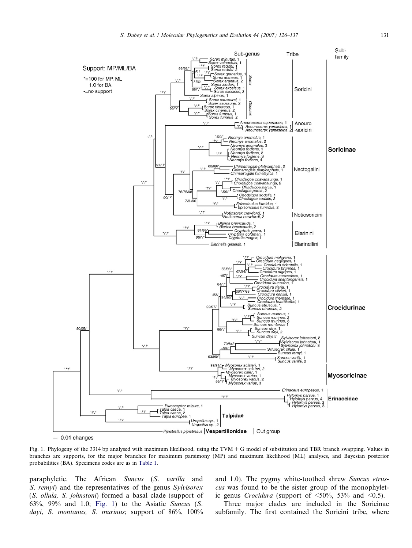<span id="page-5-0"></span>

 $-0.01$  changes

Fig. 1. Phylogeny of the 3314 bp analysed with maximum likelihood, using the TVM + G model of substitution and TBR branch swapping. Values in branches are supports, for the major branches for maximum parsimony (MP) and maximum likelihood (ML) analyses, and Bayesian posterior probabilities (BA). Specimens codes are as in [Table 1.](#page-2-0)

paraphyletic. The African Suncus (S. varilla and S. *remyi*) and the representatives of the genus Sylvisorex (S. ollula, S. johnstoni) formed a basal clade (support of 63%, 99% and 1.0; Fig. 1) to the Asiatic Suncus (S. dayi, S. montanus, S. murinus; support of 86%, 100%

and 1.0). The pygmy white-toothed shrew Suncus etruscus was found to be the sister group of the monophyletic genus *Crocidura* (support of  $\langle 50\%, 53\% \rangle$  and  $\langle 0.5 \rangle$ .

Three major clades are included in the Soricinae subfamily. The first contained the Soricini tribe, where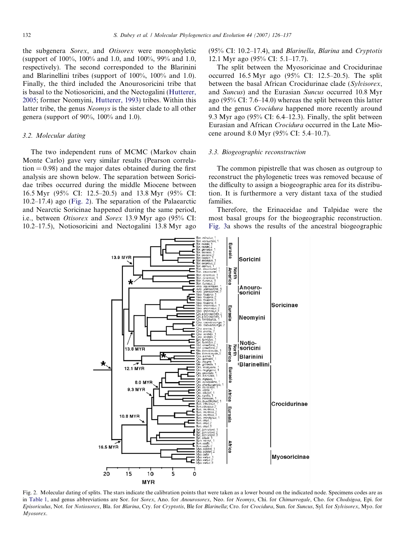<span id="page-6-0"></span>the subgenera Sorex, and Otisorex were monophyletic (support of 100%, 100% and 1.0, and 100%, 99% and 1.0, respectively). The second corresponded to the Blarinini and Blarinellini tribes (support of 100%, 100% and 1.0). Finally, the third included the Anourosoricini tribe that is basal to the Notiosoricini, and the Nectogalini [\(Hutterer,](#page-10-0) [2005;](#page-10-0) former Neomyini, [Hutterer, 1993](#page-10-0)) tribes. Within this latter tribe, the genus Neomys is the sister clade to all other genera (support of 90%, 100% and 1.0).

# 3.2. Molecular dating

The two independent runs of MCMC (Markov chain Monte Carlo) gave very similar results (Pearson correla- $\tau$  tion = 0.98) and the major dates obtained during the first analysis are shown below. The separation between Soricidae tribes occurred during the middle Miocene between 16.5 Myr (95% CI: 12.5–20.5) and 13.8 Myr (95% CI: 10.2–17.4) ago (Fig. 2). The separation of the Palaearctic and Nearctic Soricinae happened during the same period, i.e., between Otisorex and Sorex 13.9 Myr ago (95% CI: 10.2–17.5), Notiosoricini and Nectogalini 13.8 Myr ago

 $(95\% \text{ CI: } 10.2-17.4)$ , and *Blarinella*, *Blarina* and *Cryptotis* 12.1 Myr ago (95% CI: 5.1–17.7).

The split between the Myosoricinae and Crocidurinae occurred 16.5 Myr ago (95% CI: 12.5–20.5). The split between the basal African Crocidurinae clade (Sylvisorex, and Suncus) and the Eurasian Suncus occurred 10.8 Myr ago (95% CI: 7.6–14.0) whereas the split between this latter and the genus Crocidura happened more recently around 9.3 Myr ago (95% CI: 6.4–12.3). Finally, the split between Eurasian and African Crocidura occurred in the Late Miocene around 8.0 Myr (95% CI: 5.4–10.7).

#### 3.3. Biogeographic reconstruction

The common pipistrelle that was chosen as outgroup to reconstruct the phylogenetic trees was removed because of the difficulty to assign a biogeographic area for its distribution. It is furthermore a very distant taxa of the studied families.

Therefore, the Erinaceidae and Talpidae were the most basal groups for the biogeographic reconstruction. [Fig. 3](#page-7-0)a shows the results of the ancestral biogeographic



Fig. 2. Molecular dating of splits. The stars indicate the calibration points that were taken as a lower bound on the indicated node. Specimens codes are as in [Table 1](#page-2-0), and genus abbreviations are Sor. for Sorex, Ano. for Anourosorex, Neo. for Neomys, Chi. for Chimarrogale, Cho. for Chodsigoa, Epi. for Episoriculus, Not. for Notiosorex, Bla. for Blarina, Cry. for Cryptotis, Ble for Blarinella; Cro. for Crocidura, Sun. for Suncus, Syl. for Sylvisorex, Myo. for Myosorex.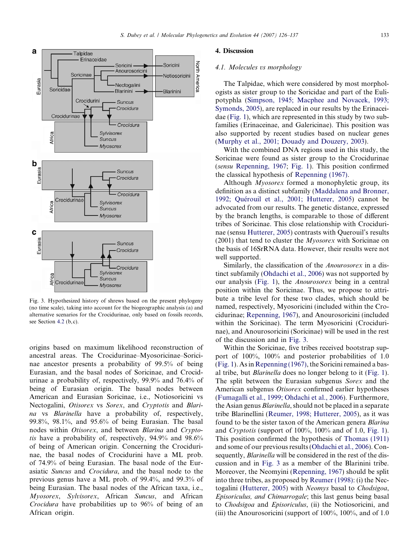<span id="page-7-0"></span>

Fig. 3. Hypothesized history of shrews based on the present phylogeny (no time scale), taking into account for the biogeographic analysis (a) and alternative scenarios for the Crocidurinae, only based on fossils records, see Section [4.2](#page-8-0) (b, c).

origins based on maximum likelihood reconstruction of ancestral areas. The Crocidurinae–Myosoricinae–Soricinae ancestor presents a probability of 99.5% of being Eurasian, and the basal nodes of Soricinae, and Crocidurinae a probability of, respectively, 99.9% and 76.4% of being of Eurasian origin. The basal nodes between American and Eurasian Soricinae, i.e., Notiosoricini vs Nectogalini, Otisorex vs Sorex, and Cryptotis and Blarina vs Blarinella have a probability of, respectively, 99.8%, 98.1%, and 95.6% of being Eurasian. The basal nodes within Otisorex, and between Blarina and Cryptotis have a probability of, respectively, 94.9% and 98.6% of being of American origin. Concerning the Crocidurinae, the basal nodes of Crocidurini have a ML prob. of 74.9% of being Eurasian. The basal node of the Eurasiatic Suncus and Crocidura, and the basal node to the previous genus have a ML prob. of 99.4%, and 99.3% of being Eurasian. The basal nodes of the African taxa, i.e., Myosorex, Sylvisorex, African Suncus, and African Crocidura have probabilities up to 96% of being of an African origin.

#### 4. Discussion

#### 4.1. Molecules vs morphology

The Talpidae, which were considered by most morphologists as sister group to the Soricidae and part of the Eulipotyphla ([Simpson, 1945; Macphee and Novacek, 1993;](#page-11-0) [Symonds, 2005\)](#page-11-0), are replaced in our results by the Erinaceidae [\(Fig. 1](#page-5-0)), which are represented in this study by two subfamilies (Erinaceinae, and Galericinae). This position was also supported by recent studies based on nuclear genes ([Murphy et al., 2001; Douady and Douzery, 2003](#page-10-0)).

With the combined DNA regions used in this study, the Soricinae were found as sister group to the Crocidurinae (sensu [Repenning, 1967](#page-11-0); [Fig. 1\)](#page-5-0). This position confirmed the classical hypothesis of [Repenning \(1967\).](#page-11-0)

Although Myosorex formed a monophyletic group, its definition as a distinct subfamily [\(Maddalena and Bronner,](#page-10-0) 1992; Quérouil et al., 2001; Hutterer, 2005) cannot be advocated from our results. The genetic distance, expressed by the branch lengths, is comparable to those of different tribes of Soricinae. This close relationship with Crocidurinae (sensu [Hutterer, 2005\)](#page-10-0) contrasts with Querouil's results  $(2001)$  that tend to cluster the *Myosorex* with Soricinae on the basis of 16SrRNA data. However, their results were not well supported.

Similarly, the classification of the Anourosorex in a distinct subfamily ([Ohdachi et al., 2006](#page-10-0)) was not supported by our analysis ([Fig. 1](#page-5-0)), the Anourosorex being in a central position within the Soricinae. Thus, we propose to attribute a tribe level for these two clades, which should be named, respectively, Myosoricini (included within the Crocidurinae; [Repenning, 1967](#page-11-0)), and Anourosoricini (included within the Soricinae). The term Myosoricini (Crocidurinae), and Anourosoricini (Soricinae) will be used in the rest of the discussion and in Fig. 3.

Within the Soricinae, five tribes received bootstrap support of 100%, 100% and posterior probabilities of 1.0 ([Fig. 1\)](#page-5-0). As in [Repenning \(1967\),](#page-11-0) the Soricini remained a basal tribe, but Blarinella does no longer belong to it [\(Fig. 1\)](#page-5-0). The split between the Eurasian subgenus Sorex and the American subgenus Otisorex confirmed earlier hypotheses ([Fumagalli et al., 1999; Ohdachi et al., 2006](#page-10-0)). Furthermore, the Asian genus Blarinella, should not be placed in a separate tribe Blarinellini ([Reumer, 1998; Hutterer, 2005](#page-11-0)), as it was found to be the sister taxon of the American genera Blarina and Cryptotis (support of 100%, 100% and of 1.0, [Fig. 1\)](#page-5-0). This position confirmed the hypothesis of [Thomas \(1911\)](#page-11-0) and some of our previous results ([Ohdachi et al., 2006](#page-10-0)). Consequently, *Blarinella* will be considered in the rest of the discussion and in Fig. 3 as a member of the Blarinini tribe. Moreover, the Neomyini [\(Repenning, 1967\)](#page-11-0) should be split into three tribes, as proposed by [Reumer \(1998\):](#page-11-0) (i) the Nectogalini ([Hutterer, 2005](#page-10-0)) with Neomys basal to Chodsigoa, Episoriculus, and Chimarrogale; this last genus being basal to Chodsigoa and Episoriculus, (ii) the Notiosoricini, and (iii) the Anourosoricini (support of 100%, 100%, and of 1.0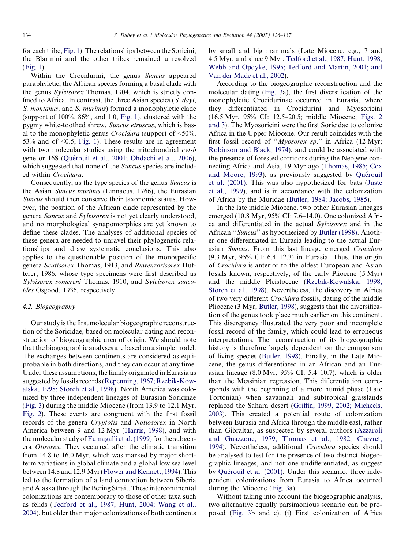<span id="page-8-0"></span>for each tribe, [Fig. 1](#page-5-0)). The relationships between the Soricini, the Blarinini and the other tribes remained unresolved [\(Fig. 1\)](#page-5-0).

Within the Crocidurini, the genus Suncus appeared paraphyletic, the African species forming a basal clade with the genus Sylvisorex Thomas, 1904, which is strictly confined to Africa. In contrast, the three Asian species (S. dayi, S. montanus, and S. murinus) formed a monophyletic clade (support of 100%, 86%, and 1.0, [Fig. 1](#page-5-0)), clustered with the pygmy white-toothed shrew, Suncus etruscus, which is basal to the monophyletic genus *Crocidura* (support of  $\langle 50\% \rangle$ , 53% and of  $\leq 0.5$ , [Fig. 1\)](#page-5-0). These results are in agreement with two molecular studies using the mitochondrial cyt-b gene or 16S (Quérouil et al., 2001; Ohdachi et al., 2006), which suggested that none of the Suncus species are included within Crocidura.

Consequently, as the type species of the genus Suncus is the Asian Suncus murinus (Linnaeus, 1766), the Eurasian Suncus should then conserve their taxonomic status. However, the position of the African clade represented by the genera Suncus and Sylvisorex is not yet clearly understood, and no morphological synapomorphies are yet known to define these clades. The analyses of additional species of these genera are needed to unravel their phylogenetic relationships and draw systematic conclusions. This also applies to the questionable position of the monospecific genera Scutisorex Thomas, 1913, and Ruwenzorisorex Hutterer, 1986, whose type specimens were first described as Sylvisorex somereni Thomas, 1910, and Sylvisorex suncoides Osgood, 1936, respectively.

## 4.2. Biogeography

Our study is the first molecular biogeographic reconstruction of the Soricidae, based on molecular dating and reconstruction of biogeographic area of origin. We should note that the biogeographic analyses are based on a simple model. The exchanges between continents are considered as equiprobable in both directions, and they can occur at any time. Under these assumptions, the family originated in Eurasia as suggested by fossils records [\(Repenning, 1967; Rzebik-Kow](#page-11-0)[alska, 1998; Storch et al., 1998\)](#page-11-0). North America was colonized by three independent lineages of Eurasian Soricinae [\(Fig. 3\)](#page-7-0) during the middle Miocene (from 13.9 to 12.1 Myr, [Fig. 2\)](#page-6-0). These events are congruent with the first fossil records of the genera Cryptotis and Notiosorex in North America between 9 and 12 Myr [\(Harris, 1998\)](#page-10-0), and with the molecular study of [Fumagalli et al. \(1999\)](#page-10-0) for the subgenera Otisorex. They occurred after the climatic transition from 14.8 to 16.0 Myr, which was marked by major shortterm variations in global climate and a global low sea level between 14.8 and 12.9 Myr [\(Flower and Kennett, 1994](#page-9-0)). This led to the formation of a land connection between Siberia and Alaska through the Bering Strait. These intercontinental colonizations are contemporary to those of other taxa such as felids [\(Tedford et al., 1987; Hunt, 2004; Wang et al.,](#page-11-0) [2004\)](#page-11-0), but older than major colonizations of both continents by small and big mammals (Late Miocene, e.g., 7 and 4.5 Myr, and since 9 Myr; [Tedford et al., 1987; Hunt, 1998;](#page-11-0) [Webb and Opdyke, 1995; Tedford and Martin, 2001; and](#page-11-0) [Van der Made et al., 2002](#page-11-0)).

According to the biogeographic reconstruction and the molecular dating ([Fig. 3a](#page-7-0)), the first diversification of the monophyletic Crocidurinae occurred in Eurasia, where they differentiated in Crocidurini and Myosoricini (16.5 Myr, 95% CI: 12.5–20.5; middle Miocene; [Figs. 2](#page-6-0) [and 3](#page-6-0)). The Myosoricini were the first Soricidae to colonize Africa in the Upper Miocene. Our result coincides with the first fossil record of ''Myosorex sp.'' in Africa (12 Myr; [Robinson and Black, 1974](#page-11-0)), and could be associated with the presence of forested corridors during the Neogene connecting Africa and Asia, 19 Myr ago [\(Thomas, 1985; Cox](#page-11-0) [and Moore, 1993\)](#page-11-0), as previously suggested by Quérouil [et al. \(2001\).](#page-10-0) This was also hypothesized for bats [\(Juste](#page-10-0) [et al., 1999\)](#page-10-0), and is in accordance with the colonization of Africa by the Muridae ([Butler, 1984; Jacobs, 1985\)](#page-9-0).

In the late middle Miocene, two other Eurasian lineages emerged (10.8 Myr, 95% CI: 7.6–14.0). One colonized Africa and differentiated in the actual Sylvisorex and in the African ''Suncus'' as hypothesized by [Butler \(1998\).](#page-9-0) Another one differentiated in Eurasia leading to the actual Eurasian Suncus. From this last lineage emerged Crocidura (9.3 Myr, 95% CI: 6.4–12.3) in Eurasia. Thus, the origin of Crocidura is anterior to the oldest European and Asian fossils known, respectively, of the early Pliocene (5 Myr) and the middle Pleistocene ([Rzebik-Kowalska, 1998;](#page-11-0) [Storch et al., 1998](#page-11-0)). Nevertheless, the discovery in Africa of two very different Crocidura fossils, dating of the middle Pliocene (3 Myr; [Butler, 1998\)](#page-9-0), suggests that the diversification of the genus took place much earlier on this continent. This discrepancy illustrated the very poor and incomplete fossil record of the family, which could lead to erroneous interpretations. The reconstruction of its biogeographic history is therefore largely dependent on the comparison of living species [\(Butler, 1998\)](#page-9-0). Finally, in the Late Miocene, the genus differentiated in an African and an Eurasian lineage  $(8.0 \text{ Myr}, 95\% \text{ CI: } 5.4{\text -}10.7)$ , which is older than the Messinian regression. This differentiation corresponds with the beginning of a more humid phase (Late Tortonian) when savannah and subtropical grasslands replaced the Sahara desert [\(Griffin, 1999, 2002; Micheels,](#page-10-0) [2003\)](#page-10-0). This created a potential route of colonization between Eurasia and Africa through the middle east, rather than Gibraltar, as suspected by several authors ([Azzaroli](#page-9-0) [and Guazzone, 1979; Thomas et al., 1982; Chevret,](#page-9-0) [1994\)](#page-9-0). Nevertheless, additional Crocidura species should be analysed to test for the presence of two distinct biogeographic lineages, and not one undifferentiated, as suggest by Quérouil et al. (2001). Under this scenario, three independent colonizations from Eurasia to Africa occurred during the Miocene ([Fig. 3](#page-7-0)a).

Without taking into account the biogeographic analysis, two alternative equally parsimonious scenario can be proposed [\(Fig. 3](#page-7-0)b and c). (i) First colonization of Africa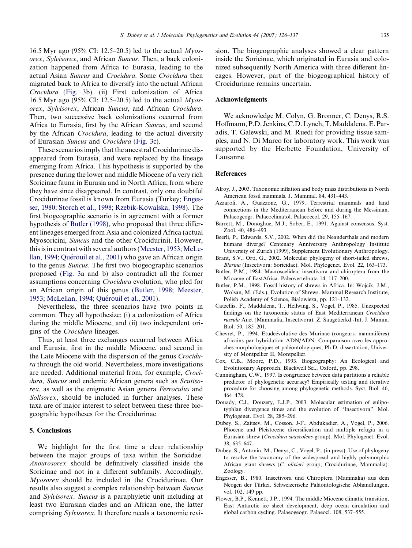<span id="page-9-0"></span>16.5 Myr ago (95% CI: 12.5–20.5) led to the actual  $Myos$ orex, Sylvisorex, and African Suncus. Then, a back colonization happened from Africa to Eurasia, leading to the actual Asian Suncus and Crocidura. Some Crocidura then migrated back to Africa to diversify into the actual African Crocidura [\(Fig. 3](#page-7-0)b). (ii) First colonization of Africa 16.5 Myr ago (95% CI: 12.5–20.5) led to the actual  $Mv$ osorex, Sylvisorex, African Suncus, and African Crocidura. Then, two successive back colonizations occurred from Africa to Eurasia, first by the African Suncus, and second by the African Crocidura, leading to the actual diversity of Eurasian Suncus and Crocidura [\(Fig. 3c](#page-7-0)).

These scenarios imply that the ancestral Crocidurinae disappeared from Eurasia, and were replaced by the lineage emerging from Africa. This hypothesis is supported by the presence during the lower and middle Miocene of a very rich Soricinae fauna in Eurasia and in North Africa, from where they have since disappeared. In contrast, only one doubtful Crocidurinae fossil is known from Eurasia (Turkey; Engesser, 1980; Storch et al., 1998; Rzebik-Kowalska, 1998). The first biogeographic scenario is in agreement with a former hypothesis of Butler (1998), who proposed that three different lineages emerged from Asia and colonized Africa (actual Myosoricini, Suncus and the other Crocidurini). However, this is in contrast with several authors [\(Meester, 1953; McLe](#page-10-0)llan, 1994; Quérouil et al., 2001) who gave an African origin to the genus Suncus. The first two biogeographic scenarios proposed [\(Fig. 3](#page-7-0)a and b) also contradict all the former assumptions concerning Crocidura evolution, who pled for an African origin of this genus (Butler, 1998; Meester, 1953; McLellan, 1994; Quérouil et al., 2001).

Nevertheless, the three scenarios have two points in common. They all hypothesize: (i) a colonization of Africa during the middle Miocene, and (ii) two independent origins of the Crocidura lineages.

Thus, at least three exchanges occurred between Africa and Eurasia, first in the middle Miocene, and second in the Late Miocene with the dispersion of the genus Crocidura through the old world. Nevertheless, more investigations are needed. Additional material from, for example, Crocidura, Suncus and endemic African genera such as Scutisorex, as well as the enigmatic Asian genera Ferroculus and Solisorex, should be included in further analyses. These taxa are of major interest to select between these three biogeograhic hypotheses for the Crocidurinae.

## 5. Conclusions

We highlight for the first time a clear relationship between the major groups of taxa within the Soricidae. Anourosorex should be definitively classified inside the Soricinae and not in a different subfamily. Accordingly, Myosorex should be included in the Crocidurinae. Our results also suggest a complex relationship between Suncus and Sylvisorex. Suncus is a paraphyletic unit including at least two Eurasian clades and an African one, the latter comprising Sylvisorex. It therefore needs a taxonomic revision. The biogeographic analyses showed a clear pattern inside the Soricinae, which originated in Eurasia and colonized subsequently North America with three different lineages. However, part of the biogeographical history of Crocidurinae remains uncertain.

#### Acknowledgments

We acknowledge M. Colyn, G. Bronner, C. Denys, R.S. Hoffmann, P.D. Jenkins, C.D. Lynch, T.Maddalena, E. Paradis, T. Galewski, and M. Ruedi for providing tissue samples, and N. Di Marco for laboratory work. This work was supported by the Herbette Foundation, University of Lausanne.

#### References

- Alroy, J., 2003. Taxonomic inflation and body mass distributions in North American fossil mammals. J. Mammal. 84, 431–443.
- Azzaroli, A., Guazzone, G., 1979. Terrestrial mammals and land connections in the Mediterranean before and during the Messinian. Palaeogeogr. Palaeoclimatol. Palaeoecol. 29, 155–167.
- Barrett, M., Donoghue, M.J., Sober, E., 1991. Against consensus. Syst. Zool. 40, 486–493.
- Beerli, P., Edwards, S.V., 2002. When did the Neanderthals and modern humans diverge? Centenary Anniversary Anthropology Institute University of Zurich (1999), Supplement Evolutionary Anthropology.
- Brant, S.V., Orti, G., 2002. Molecular phylogeny of short-tailed shrews, Blarina (Insectivora: Soricidae). Mol. Phylogenet. Evol. 22, 163–173.
- Butler, P.M., 1984. Macroscelidea, insectivora and chiroptera from the Miocene of EastAfrica. Paleovertebrata 14, 117–200.
- Butler, P.M., 1998. Fossil history of shrews in Africa. In: Wojcik, J.M., Wolsan, M. (Eds.), Evolution of Shrews. Mammal Research Institute, Polish Academy of Science, Bialowieza, pp. 121–132.
- Catzeflis, F., Maddalena, T., Hellwing, S., Vogel, P., 1985. Unexpected findings on the taxonomic status of East Mediterranean Crocidura russula Auct (Mammalia, Insectivora). Z. Saugetierkd.-Int. J. Mamm. Biol. 50, 185–201.
- Chevret, P., 1994. Etudeévolutive des Murinae (rongeurs: mammifères) africains par hybridation ADN/ADN: Comparaison avec les approches morphologiques et paléontologiques, Ph.D. dissertation, University of Montpellier II, Montpellier.
- Cox, C.B., Moore, P.D., 1993. Biogeography: An Ecological and Evolutionary Approach. Blackwell Sci., Oxford, pp. 298.
- Cunningham, C.W., 1997. Is congruence between data partitions a reliable predictor of phylogenetic accuracy? Empirically testing and iterative procedure for choosing among phylogenetic methods. Syst. Biol. 46, 464–478.
- Douady, C.J., Douzery, E.J.P., 2003. Molecular estimation of eulipotyphlan divergence times and the evolution of ''Insectivora''. Mol. Phylogenet. Evol. 28, 285–296.
- Dubey, S., Zaitsev, M., Cosson, J-F., Abdukadier, A., Vogel, P., 2006. Pliocene and Pleistocene diversification and multiple refugia in a Eurasian shrew (Crocidura suaveolens group). Mol. Phylogenet. Evol. 38, 635–647.
- Dubey, S., Antonin, M., Denys, C., Vogel, P., (in press). Use of phylogeny to resolve the taxonomy of the widespread and highly polymorphic African giant shrews (C. olivieri group, Crocidurinae, Mammalia). Zoology.
- Engesser, B., 1980. Insectivora und Chiroptera (Mammalia) aus dem Neogen der Türkei. Schweizerische Paläontologische Abhandlungen, vol. 102, 149 pp.
- Flower, B.P., Kennett, J.P., 1994. The middle Miocene climatic transition, East Antarctic ice sheet development, deep ocean circulation and global carbon cycling. Palaeogeogr. Palaeocl. 108, 537–555.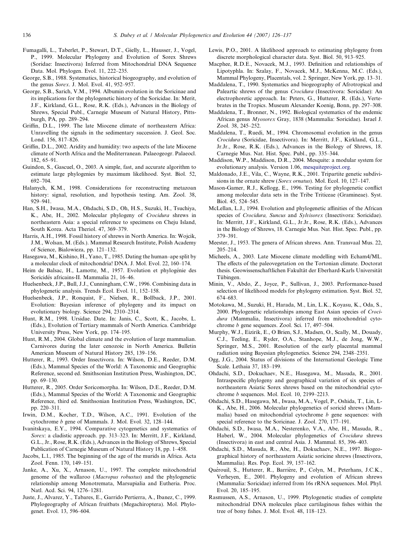- <span id="page-10-0"></span>Fumagalli, L., Taberlet, P., Stewart, D.T., Gielly, L., Hausser, J., Vogel, P., 1999. Molecular Phylogeny and Evolution of Sorex Shrews (Soridae: Insectivora) Inferred from Mitochondrial DNA Sequence Data. Mol. Phylogen. Evol. 11, 222–235.
- George, S.B., 1988. Systematics, historical biogeography, and evolution of the genus Sorex. J. Mol. Evol. 41, 952–957.
- George, S.B., Sarich, V.M., 1994. Albumin evolution in the Soricinae and its implications for the phylogenetic history of the Soricidae. In: Merit, J.F., Kirkland, G.L., Rose, R.K. (Eds.), Advances in the Biology of Shrews, Special Publ., Carnegie Museum of Natural History, Pittsburgh, PA, pp. 289–294.
- Griffin, D.L., 1999. The late Miocene climate of northeastern Africa: Unravelling the signals in the sedimentary succession. J. Geol. Soc. Lond. 156, 817–826.
- Griffin, D.L., 2002. Aridity and humidity: two aspects of the late Miocene climate of North Africa and the Mediterranean. Palaeogeogr. Palaeocl. 182, 65–91.
- Guindon, S., Gascuel, O., 2003. A simple, fast, and accurate algorithm to estimate large phylogenies by maximum likelihood. Syst. Biol. 52, 692–704.
- Halanych, K.M., 1998. Considerations for reconstructing metazoan history: signal, resolution, and hypothesis testing. Am. Zool. 38, 929–941.
- Han, S.H., Iwasa, M.A., Ohdachi, S.D., Oh, H.S., Suzuki, H., Tsuchiya, K., Abe, H., 2002. Molecular phylogeny of Crocidura shrews in northeastern Asia: a special reference to specimens on Cheju Island, South Korea. Acta Theriol. 47, 369–379.
- Harris, A.H., 1998. Fossil history of shrews in North America. In: Wojcik, J.M., Wolsan, M. (Eds.). Mammal Research Institute, Polish Academy of Science, Bialowieza, pp. 121–132.
- Hasegawa, M., Kishino, H., Yano, T., 1985. Dating the human–ape split by a molecular clock of mitochondria! DNA. J. Mol. Evol. 22, 160–174.
- Heim de Balsac, H., Lamotte, M., 1957. Evolution et phylogénie des Soricidés africains-II. Mammalia 21, 16–46.
- Huelsenbeck, J.P., Bull, J.J., Cunningham, C.W., 1996. Combining data in phylogenetic analysis. Trends Ecol. Evol. 11, 152–158.
- Huelsenbeck, J.P., Ronquist, F., Nielsen, R., Bollback, J.P., 2001. Evolution: Bayesian inference of phylogeny and its impact on evolutionary biology. Science 294, 2310–2314.
- Hunt, R.M., 1998. Ursidae. Date. In: Janis, C., Scott, K., Jacobs, L. (Eds.), Evolution of Tertiary mammals of North America. Cambridge University Press, New York, pp. 174–195.
- Hunt, R.M., 2004. Global climate and the evolution of large mammalian. Carnivores during the later cenozoic in North America. Bulletin American Museum of Natural History 285, 139–156.
- Hutterer, R., 1993. Order Insectivora. In: Wilson, D.E., Reeder, D.M. (Eds.), Mammal Species of the World: A Taxonomic and Geographic Reference, second ed. Smithsonian Institution Press, Washington, DC, pp. 69–130.
- Hutterer, R., 2005. Order Soricomorpha. In: Wilson, D.E., Reeder, D.M. (Eds.), Mammal Species of the World: A Taxonomic and Geographic Reference, third ed. Smithsonian Institution Press, Washington, DC, pp. 220–311.
- Irwin, D.M., Kocher, T.D., Wilson, A.C., 1991. Evolution of the cytochrome b gene of Mammals. J. Mol. Evol. 32, 128–144.
- Ivanitskaya, E.Y., 1994. Comparative cytogenetics and systematics of Sorex: a cladistic approach. pp. 313–323. In: Merritt, J.F., Kirkland, G.L., Jr., Rose, R.K. (Eds.), Advances in the Biology of Shrews, Special Publication of Carnegie Museum of Natural History 18, pp. 1–458.
- Jacobs, L.l., 1985. The beginning of the age of the murids in Africa. Acta Zool. Fenn. 170, 149–151.
- Janke, A., Xu, X., Arnason, U., 1997. The complete mitochondrial genome of the wallaroo (Macropus robustus) and the phylogenetic relationship among Monotremata, Marsupialia and Eutheria. Proc. Natl. Acd. Sci. 94, 1276–1281.
- Juste, J., Alvarez, Y., Tabares, E., Garrido Pertierra, A., Ibanez, C., 1999. Phylogeography of African fruitbats (Megachiroptera). Mol. Phylogenet. Evol. 13, 596–604.
- Lewis, P.O., 2001. A likelihood approach to estimating phylogeny from discrete morphological character data. Syst. Biol. 50, 913–925.
- Macphee, R.D.E., Novacek, M.J., 1993. Definition and relationships of Lipotyphla. In: Szalay, F., Novacek, M.J., McKenna, M.C. (Eds.), Mammal Phylogeny, Placentals, vol. 2. Springer, New York, pp. 13–31.
- Maddalena, T., 1990. Systematics and biogeography of Afrotropical and Paleartic shrews of the genus Crocidura (Insectivora: Soricidae): An electrophoretic approach. In: Peters, G., Hutterer, R. (Eds.), Vertebrates in the Tropics. Museum Alexander Koenig, Bonn, pp. 297–308.
- Maddalena, T., Bronner, N., 1992. Biological systematics of the endemic African genus Myosorex Gray, 1838 (Mammalia: Soricidae). Israel J. Zool. 38, 245–252.
- Maddalena, T., Ruedi, M., 1994. Chromosomal evolution in the genus Crocidura (Soricidae, Insectivora). In: Merritt, J.F., Kirkland, G.L., Jr.Jr., Rose, R.K. (Eds.), Advances in the Biology of Shrews, 18. Carnegie Mus. Nat. Hist. Spec. Publ., pp. 335–344.
- Maddison, W.P., Maddison, D.R., 2004. Mesquite: a modular system for evolutionary analysis. Version 1.06, [mesquiteproject.org.](http://mesquiteproject.org)
- Maldonado, J.E., Vila, C., Wayne, R.K., 2001. Tripartite genetic subdivisions in the ornate shrew (Sorex ornatus). Mol. Ecol. 10, 127–147.
- Mason-Gamer, R.J., Kellogg, E., 1996. Testing for phylogenetic conflict among molecular data sets in the Tribe Triticeae (Gramineae). Syst. Biol. 45, 524–545.
- McLellan, L.J., 1994. Evolution and phylogenetic affinities of the African species of Crocidura, Suncus and Sylvisorex (Insectivora: Soricidae). In: Merritt, J.F., Kirkland, G.L., Jr.Jr., Rose, R.K. (Eds.), Advances in the Biology of Shrews, 18. Carnegie Mus. Nat. Hist. Spec. Publ., pp. 379–391.
- Meester, J., 1953. The genera of African shrews. Ann. Transvaal Mus. 22, 205–214.
- Micheels, A., 2003. Late Miocene climate modelling with Echam4/ML. The effects of the paleovegetation on the Tortonian climate. Doctorat thesis. Geowissenschaftlichen Fakultät der Eberhard-Karls Universität Tübingen.
- Minin, V., Abdo, Z., Joyce, P., Sullivan, J., 2003. Performance-based selection of likelihood models for phylogeny estimation. Syst. Biol. 52, 674–683.
- Motokawa, M., Suzuki, H., Harada, M., Lin, L.K., Koyasu, K., Oda, S., 2000. Phylogenetic relationships among East Asian species of Crocidura (Mammalia, Insectivora) inferred from mitochondrial cytochrome b gene sequences. Zool. Sci. 17, 497–504.
- Murphy, W.J., Eizirik, E., O Brien, S.J., Madsen, O., Scally, M., Douady, C.J., Teeling, E., Ryder, O.A., Stanhope, M.J., de Jong, W.W., Springer, M.S., 2001. Resolution of the early placental mammal radiation using Bayesian phylogenetics. Science 294, 2348–2351.
- Ogg, J.G., 2004. Status of divisions of the International Geologic Time Scale. Lethaia 37, 183–199.
- Ohdachi, S.D., Dokuchaev, N.E., Hasegawa, M., Masuda, R., 2001. Intraspecific phylogeny and geographical variation of six species of northeastern Asiatic Sorex shrews based on the mitochondrial cytochrome b sequences. Mol. Ecol. 10, 2199–2213.
- Ohdachi, S.D., Hasegawa, M., Iwasa, M.A., Vogel, P., Oshida, T., Lin, L-K., Abe, H., 2006. Molecular phylogenetics of soricid shrews (Mammalia) based on mitochondrial cytochrome  $b$  gene sequences: with special reference to the Soricinae. J. Zool. 270, 177–191.
- Ohdachi, S.D., Iwasa, M.A., Nesterenko, V.A., Abe, H., Masuda, R., Haberl, W., 2004. Molecular phylogenetics of Crocidura shrews (Insectivora) in east and central Asia. J. Mammal. 85, 396–403.
- Ohdachi, S.D., Masuda, R., Abe, H., Dokuchaev, N.E., 1997. Biogeographical history of northeastern Asiatic soricine shrews (Insectivora, Mammalia). Res. Pop. Ecol. 39, 157–162.
- Quérouil, S., Hutterer, R., Barrière, P., Colyn, M., Peterhans, J.C.K., Verheyen, E., 2001. Phylogeny and evolution of African shrews (Mammalia: Soricidae) inferred from 16s rRNA sequences. Mol. Phyl. Evol. 20, 185–195.
- Rasmussen, A.S., Arnason, U., 1999. Phylogenetic studies of complete mitochondrial DNA molecules place cartilaginous fishes within the tree of bony fishes. J. Mol. Evol. 48, 118–123.